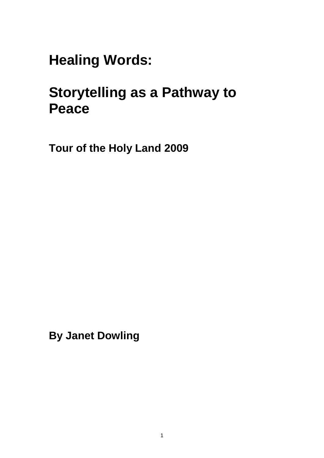**Healing Words:**

# **Storytelling as a Pathway to Peace**

**Tour of the Holy Land 2009**

**By Janet Dowling**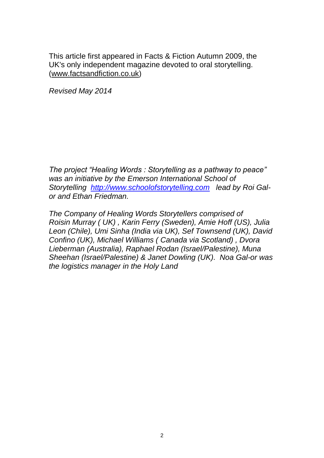This article first appeared in Facts & Fiction Autumn 2009, the UK's only independent magazine devoted to oral storytelling. [\(www.factsandfiction.co.uk\)](http://www.factsandfiction.co.uk/)

*Revised May 2014*

*The project "Healing Words : Storytelling as a pathway to peace" was an initiative by the Emerson International School of Storytelling [http://www.schoolofstorytelling.com](http://www.schoolofstorytelling.com/) lead by Roi Galor and Ethan Friedman.* 

*The Company of Healing Words Storytellers comprised of Roisin Murray ( UK) , Karin Ferry (Sweden), Amie Hoff (US), Julia Leon (Chile), Umi Sinha (India via UK), Sef Townsend (UK), David Confino (UK), Michael Williams ( Canada via Scotland) , Dvora Lieberman (Australia), Raphael Rodan (Israel/Palestine), Muna Sheehan (Israel/Palestine) & Janet Dowling (UK). Noa Gal-or was the logistics manager in the Holy Land*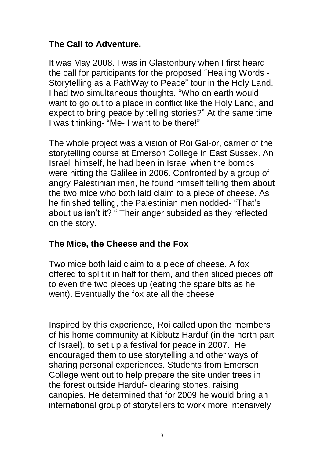# **The Call to Adventure.**

It was May 2008. I was in Glastonbury when I first heard the call for participants for the proposed "Healing Words - Storytelling as a PathWay to Peace" tour in the Holy Land. I had two simultaneous thoughts. "Who on earth would want to go out to a place in conflict like the Holy Land, and expect to bring peace by telling stories?" At the same time I was thinking- "Me- I want to be there!"

The whole project was a vision of Roi Gal-or, carrier of the storytelling course at Emerson College in East Sussex. An Israeli himself, he had been in Israel when the bombs were hitting the Galilee in 2006. Confronted by a group of angry Palestinian men, he found himself telling them about the two mice who both laid claim to a piece of cheese. As he finished telling, the Palestinian men nodded- "That's about us isn't it? " Their anger subsided as they reflected on the story.

## **The Mice, the Cheese and the Fox**

Two mice both laid claim to a piece of cheese. A fox offered to split it in half for them, and then sliced pieces off to even the two pieces up (eating the spare bits as he went). Eventually the fox ate all the cheese

Inspired by this experience, Roi called upon the members of his home community at Kibbutz Harduf (in the north part of Israel), to set up a festival for peace in 2007. He encouraged them to use storytelling and other ways of sharing personal experiences. Students from Emerson College went out to help prepare the site under trees in the forest outside Harduf- clearing stones, raising canopies. He determined that for 2009 he would bring an international group of storytellers to work more intensively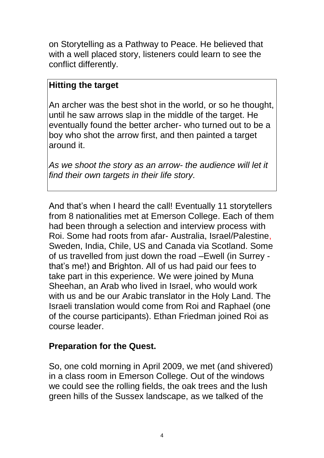on Storytelling as a Pathway to Peace. He believed that with a well placed story, listeners could learn to see the conflict differently.

#### **Hitting the target**

An archer was the best shot in the world, or so he thought, until he saw arrows slap in the middle of the target. He eventually found the better archer- who turned out to be a boy who shot the arrow first, and then painted a target around it.

*As we shoot the story as an arrow- the audience will let it find their own targets in their life story.*

And that's when I heard the call! Eventually 11 storytellers from 8 nationalities met at Emerson College. Each of them had been through a selection and interview process with Roi. Some had roots from afar- Australia, Israel/Palestine, Sweden, India, Chile, US and Canada via Scotland. Some of us travelled from just down the road –Ewell (in Surrey that's me!) and Brighton. All of us had paid our fees to take part in this experience. We were joined by Muna Sheehan, an Arab who lived in Israel, who would work with us and be our Arabic translator in the Holy Land. The Israeli translation would come from Roi and Raphael (one of the course participants). Ethan Friedman joined Roi as course leader.

#### **Preparation for the Quest.**

So, one cold morning in April 2009, we met (and shivered) in a class room in Emerson College. Out of the windows we could see the rolling fields, the oak trees and the lush green hills of the Sussex landscape, as we talked of the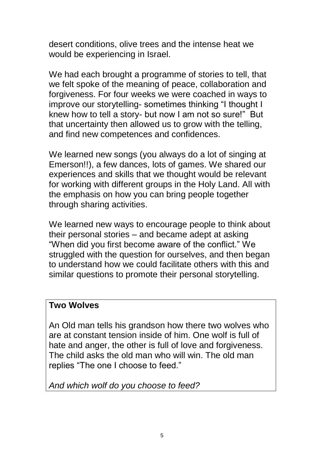desert conditions, olive trees and the intense heat we would be experiencing in Israel.

We had each brought a programme of stories to tell, that we felt spoke of the meaning of peace, collaboration and forgiveness. For four weeks we were coached in ways to improve our storytelling- sometimes thinking "I thought I knew how to tell a story- but now I am not so sure!" But that uncertainty then allowed us to grow with the telling, and find new competences and confidences.

We learned new songs (you always do a lot of singing at Emerson!!), a few dances, lots of games. We shared our experiences and skills that we thought would be relevant for working with different groups in the Holy Land. All with the emphasis on how you can bring people together through sharing activities.

We learned new ways to encourage people to think about their personal stories – and became adept at asking "When did you first become aware of the conflict." We struggled with the question for ourselves, and then began to understand how we could facilitate others with this and similar questions to promote their personal storytelling.

#### **Two Wolves**

An Old man tells his grandson how there two wolves who are at constant tension inside of him. One wolf is full of hate and anger, the other is full of love and forgiveness. The child asks the old man who will win. The old man replies "The one I choose to feed."

*And which wolf do you choose to feed?*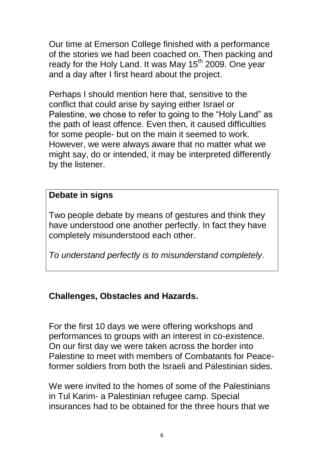Our time at Emerson College finished with a performance of the stories we had been coached on. Then packing and ready for the Holy Land. It was May 15<sup>th</sup> 2009. One year and a day after I first heard about the project.

Perhaps I should mention here that, sensitive to the conflict that could arise by saying either Israel or Palestine, we chose to refer to going to the "Holy Land" as the path of least offence. Even then, it caused difficulties for some people- but on the main it seemed to work. However, we were always aware that no matter what we might say, do or intended, it may be interpreted differently by the listener.

## **Debate in signs**

Two people debate by means of gestures and think they have understood one another perfectly. In fact they have completely misunderstood each other.

*To understand perfectly is to misunderstand completely.*

## **Challenges, Obstacles and Hazards.**

For the first 10 days we were offering workshops and performances to groups with an interest in co-existence. On our first day we were taken across the border into Palestine to meet with members of Combatants for Peaceformer soldiers from both the Israeli and Palestinian sides.

We were invited to the homes of some of the Palestinians in Tul Karim- a Palestinian refugee camp. Special insurances had to be obtained for the three hours that we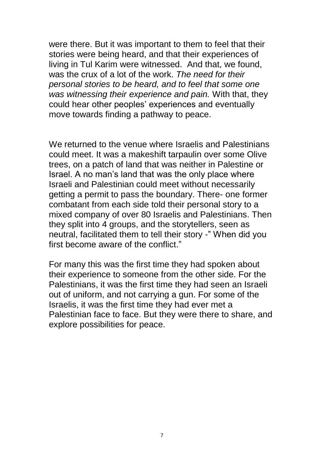were there. But it was important to them to feel that their stories were being heard, and that their experiences of living in Tul Karim were witnessed. And that, we found, was the crux of a lot of the work. *The need for their personal stories to be heard, and to feel that some one was witnessing their experience and pain.* With that, they could hear other peoples' experiences and eventually move towards finding a pathway to peace.

We returned to the venue where Israelis and Palestinians could meet. It was a makeshift tarpaulin over some Olive trees, on a patch of land that was neither in Palestine or Israel. A no man's land that was the only place where Israeli and Palestinian could meet without necessarily getting a permit to pass the boundary. There- one former combatant from each side told their personal story to a mixed company of over 80 Israelis and Palestinians. Then they split into 4 groups, and the storytellers, seen as neutral, facilitated them to tell their story -" When did you first become aware of the conflict."

For many this was the first time they had spoken about their experience to someone from the other side. For the Palestinians, it was the first time they had seen an Israeli out of uniform, and not carrying a gun. For some of the Israelis, it was the first time they had ever met a Palestinian face to face. But they were there to share, and explore possibilities for peace.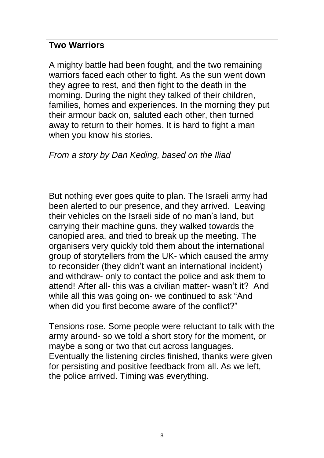#### **Two Warriors**

A mighty battle had been fought, and the two remaining warriors faced each other to fight. As the sun went down they agree to rest, and then fight to the death in the morning. During the night they talked of their children, families, homes and experiences. In the morning they put their armour back on, saluted each other, then turned away to return to their homes. It is hard to fight a man when you know his stories.

*From a story by Dan Keding, based on the Iliad*

But nothing ever goes quite to plan. The Israeli army had been alerted to our presence, and they arrived. Leaving their vehicles on the Israeli side of no man's land, but carrying their machine guns, they walked towards the canopied area, and tried to break up the meeting. The organisers very quickly told them about the international group of storytellers from the UK- which caused the army to reconsider (they didn't want an international incident) and withdraw- only to contact the police and ask them to attend! After all- this was a civilian matter- wasn't it? And while all this was going on- we continued to ask "And when did you first become aware of the conflict?"

Tensions rose. Some people were reluctant to talk with the army around- so we told a short story for the moment, or maybe a song or two that cut across languages. Eventually the listening circles finished, thanks were given for persisting and positive feedback from all. As we left, the police arrived. Timing was everything.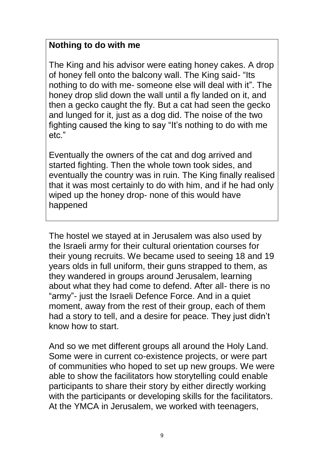# **Nothing to do with me**

The King and his advisor were eating honey cakes. A drop of honey fell onto the balcony wall. The King said- "Its nothing to do with me- someone else will deal with it". The honey drop slid down the wall until a fly landed on it, and then a gecko caught the fly. But a cat had seen the gecko and lunged for it, just as a dog did. The noise of the two fighting caused the king to say "It's nothing to do with me etc."

Eventually the owners of the cat and dog arrived and started fighting. Then the whole town took sides, and eventually the country was in ruin. The King finally realised that it was most certainly to do with him, and if he had only wiped up the honey drop- none of this would have happened

The hostel we stayed at in Jerusalem was also used by the Israeli army for their cultural orientation courses for their young recruits. We became used to seeing 18 and 19 years olds in full uniform, their guns strapped to them, as they wandered in groups around Jerusalem, learning about what they had come to defend. After all- there is no "army"- just the Israeli Defence Force. And in a quiet moment, away from the rest of their group, each of them had a story to tell, and a desire for peace. They just didn't know how to start.

And so we met different groups all around the Holy Land. Some were in current co-existence projects, or were part of communities who hoped to set up new groups. We were able to show the facilitators how storytelling could enable participants to share their story by either directly working with the participants or developing skills for the facilitators. At the YMCA in Jerusalem, we worked with teenagers,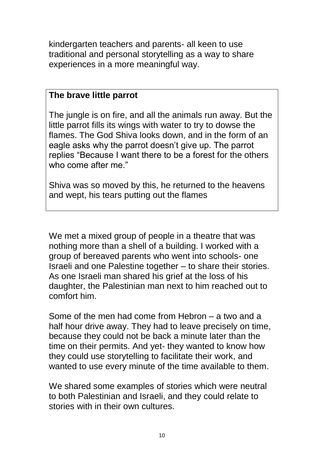kindergarten teachers and parents- all keen to use traditional and personal storytelling as a way to share experiences in a more meaningful way.

#### **The brave little parrot**

The jungle is on fire, and all the animals run away. But the little parrot fills its wings with water to try to dowse the flames. The God Shiva looks down, and in the form of an eagle asks why the parrot doesn't give up. The parrot replies "Because I want there to be a forest for the others who come after me."

Shiva was so moved by this, he returned to the heavens and wept, his tears putting out the flames

We met a mixed group of people in a theatre that was nothing more than a shell of a building. I worked with a group of bereaved parents who went into schools- one Israeli and one Palestine together – to share their stories. As one Israeli man shared his grief at the loss of his daughter, the Palestinian man next to him reached out to comfort him.

Some of the men had come from Hebron – a two and a half hour drive away. They had to leave precisely on time, because they could not be back a minute later than the time on their permits. And yet- they wanted to know how they could use storytelling to facilitate their work, and wanted to use every minute of the time available to them.

We shared some examples of stories which were neutral to both Palestinian and Israeli, and they could relate to stories with in their own cultures.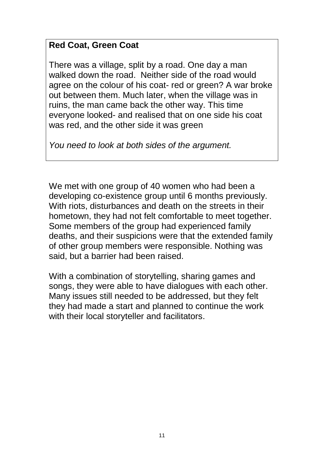# **Red Coat, Green Coat**

There was a village, split by a road. One day a man walked down the road. Neither side of the road would agree on the colour of his coat- red or green? A war broke out between them. Much later, when the village was in ruins, the man came back the other way. This time everyone looked- and realised that on one side his coat was red, and the other side it was green

*You need to look at both sides of the argument.*

We met with one group of 40 women who had been a developing co-existence group until 6 months previously. With riots, disturbances and death on the streets in their hometown, they had not felt comfortable to meet together. Some members of the group had experienced family deaths, and their suspicions were that the extended family of other group members were responsible. Nothing was said, but a barrier had been raised.

With a combination of storytelling, sharing games and songs, they were able to have dialogues with each other. Many issues still needed to be addressed, but they felt they had made a start and planned to continue the work with their local storyteller and facilitators.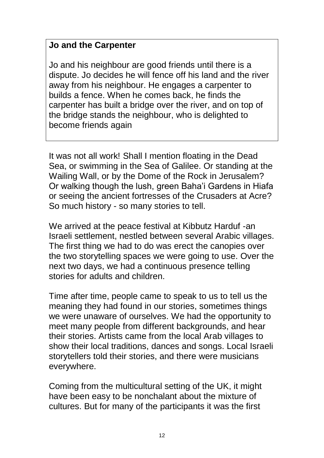## **Jo and the Carpenter**

Jo and his neighbour are good friends until there is a dispute. Jo decides he will fence off his land and the river away from his neighbour. He engages a carpenter to builds a fence. When he comes back, he finds the carpenter has built a bridge over the river, and on top of the bridge stands the neighbour, who is delighted to become friends again

It was not all work! Shall I mention floating in the Dead Sea, or swimming in the Sea of Galilee. Or standing at the Wailing Wall, or by the Dome of the Rock in Jerusalem? Or walking though the lush, green Baha'i Gardens in Hiafa or seeing the ancient fortresses of the Crusaders at Acre? So much history - so many stories to tell.

We arrived at the peace festival at Kibbutz Harduf -an Israeli settlement, nestled between several Arabic villages. The first thing we had to do was erect the canopies over the two storytelling spaces we were going to use. Over the next two days, we had a continuous presence telling stories for adults and children.

Time after time, people came to speak to us to tell us the meaning they had found in our stories, sometimes things we were unaware of ourselves. We had the opportunity to meet many people from different backgrounds, and hear their stories. Artists came from the local Arab villages to show their local traditions, dances and songs. Local Israeli storytellers told their stories, and there were musicians everywhere.

Coming from the multicultural setting of the UK, it might have been easy to be nonchalant about the mixture of cultures. But for many of the participants it was the first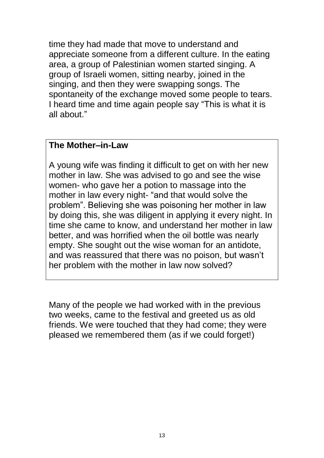time they had made that move to understand and appreciate someone from a different culture. In the eating area, a group of Palestinian women started singing. A group of Israeli women, sitting nearby, joined in the singing, and then they were swapping songs. The spontaneity of the exchange moved some people to tears. I heard time and time again people say "This is what it is all about."

#### **The Mother–in-Law**

A young wife was finding it difficult to get on with her new mother in law. She was advised to go and see the wise women- who gave her a potion to massage into the mother in law every night- "and that would solve the problem". Believing she was poisoning her mother in law by doing this, she was diligent in applying it every night. In time she came to know, and understand her mother in law better, and was horrified when the oil bottle was nearly empty. She sought out the wise woman for an antidote, and was reassured that there was no poison, but wasn't her problem with the mother in law now solved?

Many of the people we had worked with in the previous two weeks, came to the festival and greeted us as old friends. We were touched that they had come; they were pleased we remembered them (as if we could forget!)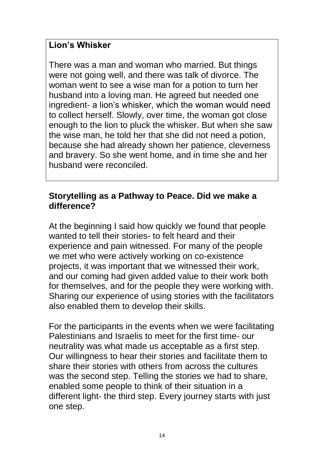## **Lion's Whisker**

There was a man and woman who married. But things were not going well, and there was talk of divorce. The woman went to see a wise man for a potion to turn her husband into a loving man. He agreed but needed one ingredient- a lion's whisker, which the woman would need to collect herself. Slowly, over time, the woman got close enough to the lion to pluck the whisker. But when she saw the wise man, he told her that she did not need a potion, because she had already shown her patience, cleverness and bravery. So she went home, and in time she and her husband were reconciled.

#### **Storytelling as a Pathway to Peace. Did we make a difference?**

At the beginning I said how quickly we found that people wanted to tell their stories- to felt heard and their experience and pain witnessed. For many of the people we met who were actively working on co-existence projects, it was important that we witnessed their work, and our coming had given added value to their work both for themselves, and for the people they were working with. Sharing our experience of using stories with the facilitators also enabled them to develop their skills.

For the participants in the events when we were facilitating Palestinians and Israelis to meet for the first time- our neutrality was what made us acceptable as a first step. Our willingness to hear their stories and facilitate them to share their stories with others from across the cultures was the second step. Telling the stories we had to share, enabled some people to think of their situation in a different light- the third step. Every journey starts with just one step.